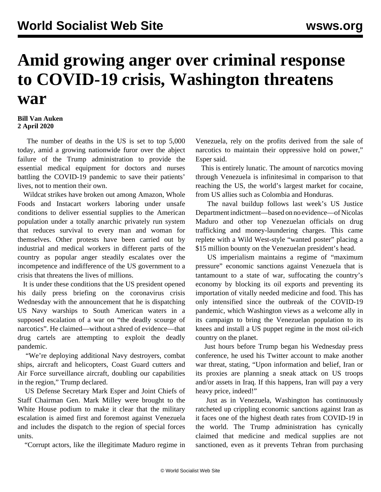## **Amid growing anger over criminal response to COVID-19 crisis, Washington threatens war**

## **Bill Van Auken 2 April 2020**

 The number of deaths in the US is set to top 5,000 today, amid a growing nationwide furor over the abject failure of the Trump administration to provide the essential medical equipment for doctors and nurses battling the COVID-19 pandemic to save their patients' lives, not to mention their own.

 Wildcat strikes have broken out among Amazon, Whole Foods and Instacart workers laboring under unsafe conditions to deliver essential supplies to the American population under a totally anarchic privately run system that reduces survival to every man and woman for themselves. Other protests have been carried out by industrial and medical workers in different parts of the country as popular anger steadily escalates over the incompetence and indifference of the US government to a crisis that threatens the lives of millions.

 It is under these conditions that the US president opened his daily press briefing on the coronavirus crisis Wednesday with the announcement that he is dispatching US Navy warships to South American waters in a supposed escalation of a war on "the deadly scourge of narcotics". He claimed—without a shred of evidence—that drug cartels are attempting to exploit the deadly pandemic.

 "We're deploying additional Navy destroyers, combat ships, aircraft and helicopters, Coast Guard cutters and Air Force surveillance aircraft, doubling our capabilities in the region," Trump declared.

 US Defense Secretary Mark Esper and Joint Chiefs of Staff Chairman Gen. Mark Milley were brought to the White House podium to make it clear that the military escalation is aimed first and foremost against Venezuela and includes the dispatch to the region of special forces units.

"Corrupt actors, like the illegitimate Maduro regime in

Venezuela, rely on the profits derived from the sale of narcotics to maintain their oppressive hold on power," Esper said.

 This is entirely lunatic. The amount of narcotics moving through Venezuela is infinitesimal in comparison to that reaching the US, the world's largest market for cocaine, from US allies such as Colombia and Honduras.

 The naval buildup follows last week's US Justice Department indictment—based on no evidence—of Nicolas Maduro and other top Venezuelan officials on drug trafficking and money-laundering charges. This came replete with a Wild West-style "wanted poster" placing a \$15 million bounty on the Venezuelan president's head.

 US imperialism maintains a regime of "maximum pressure" economic sanctions against Venezuela that is tantamount to a state of war, suffocating the country's economy by blocking its oil exports and preventing its importation of vitally needed medicine and food. This has only intensified since the outbreak of the COVID-19 pandemic, which Washington views as a welcome ally in its campaign to bring the Venezuelan population to its knees and install a US puppet regime in the most oil-rich country on the planet.

 Just hours before Trump began his Wednesday press conference, he used his Twitter account to make another war threat, stating, "Upon information and belief, Iran or its proxies are planning a sneak attack on US troops and/or assets in Iraq. If this happens, Iran will pay a very heavy price, indeed!"

 Just as in Venezuela, Washington has continuously ratcheted up crippling economic sanctions against Iran as it faces one of the highest death rates from COVID-19 in the world. The Trump administration has cynically claimed that medicine and medical supplies are not sanctioned, even as it prevents Tehran from purchasing